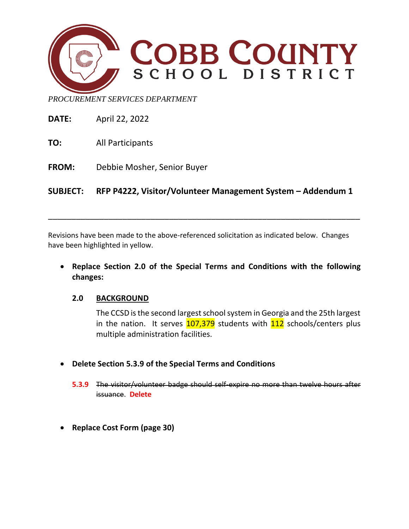

*PROCUREMENT SERVICES DEPARTMENT*

**DATE:** April 22, 2022

**TO:** All Participants

**FROM:** Debbie Mosher, Senior Buyer

**SUBJECT: RFP P4222, Visitor/Volunteer Management System – Addendum 1**

\_\_\_\_\_\_\_\_\_\_\_\_\_\_\_\_\_\_\_\_\_\_\_\_\_\_\_\_\_\_\_\_\_\_\_\_\_\_\_\_\_\_\_\_\_\_\_\_\_\_\_\_\_\_\_\_\_\_\_\_\_\_\_\_\_\_\_

Revisions have been made to the above-referenced solicitation as indicated below. Changes have been highlighted in yellow.

• **Replace Section 2.0 of the Special Terms and Conditions with the following changes:**

## **2.0 BACKGROUND**

The CCSD is the second largest school system in Georgia and the 25th largest in the nation. It serves  $107,379$  students with  $112$  schools/centers plus multiple administration facilities.

- **Delete Section 5.3.9 of the Special Terms and Conditions**
	- **5.3.9** The visitor/volunteer badge should self-expire no more than twelve hours after issuance. **Delete**
- **Replace Cost Form (page 30)**